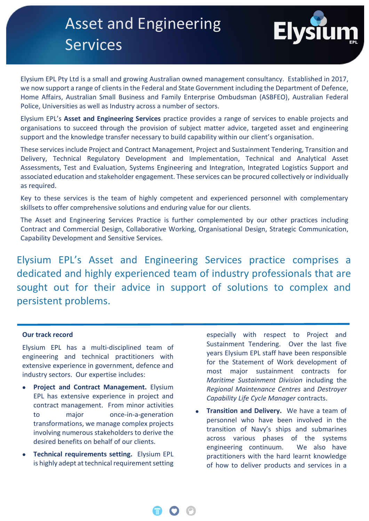# Asset and Engineering Services



Case Study of the Study of the Study of Elysium EPL Pty Ltd is a small and growing Australian owned management consultancy. Established in 2017, we now support a range of clients in the Federal and State Government including the Department of Defence, Home Affairs, Australian Small Business and Family Enterprise Ombudsman (ASBFEO), Australian Federal Police, Universities as well as Industry across a number of sectors.

Elysium EPL's **Asset and Engineering Services** practice provides a range of services to enable projects and organisations to succeed through the provision of subject matter advice, targeted asset and engineering support and the knowledge transfer necessary to build capability within our client's organisation.

These services include Project and Contract Management, Project and Sustainment Tendering, Transition and Delivery, Technical Regulatory Development and Implementation, Technical and Analytical Asset Assessments, Test and Evaluation, Systems Engineering and Integration, Integrated Logistics Support and associated education and stakeholder engagement. These services can be procured collectively or individually as required.

Key to these services is the team of highly competent and experienced personnel with complementary skillsets to offer comprehensive solutions and enduring value for our clients.

The Asset and Engineering Services Practice is further complemented by our other practices including Contract and Commercial Design, Collaborative Working, Organisational Design, Strategic Communication, Capability Development and Sensitive Services.

Elysium EPL's Asset and Engineering Services practice comprises a dedicated and highly experienced team of industry professionals that are sought out for their advice in support of solutions to complex and persistent problems.

### **Our track record**

Elysium EPL has a multi-disciplined team of engineering and technical practitioners with extensive experience in government, defence and industry sectors. Our expertise includes:

- **Project and Contract Management.** Elysium EPL has extensive experience in project and contract management. From minor activities to major once-in-a-generation transformations, we manage complex projects involving numerous stakeholders to derive the desired benefits on behalf of our clients.
- **Technical requirements setting.** Elysium EPL is highly adept at technical requirement setting

especially with respect to Project and Sustainment Tendering. Over the last five years Elysium EPL staff have been responsible for the Statement of Work development of most major sustainment contracts for *Maritime Sustainment Division* including the *Regional Maintenance Centres* and *Destroyer Capability Life Cycle Manager* contracts.

**Transition and Delivery.** We have a team of personnel who have been involved in the transition of Navy's ships and submarines across various phases of the systems engineering continuum. We also have practitioners with the hard learnt knowledge of how to deliver products and services in a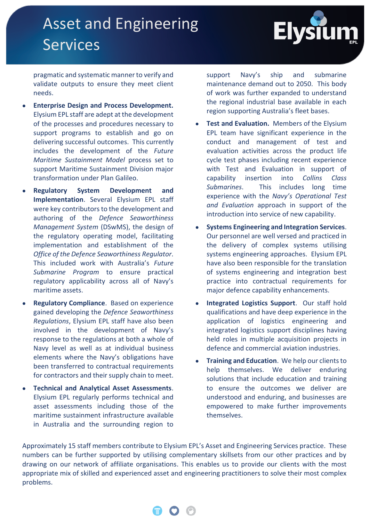# Asset and Engineering Services



pragmatic and systematic manner to verify and validate outputs to ensure they meet client needs.

- **Enterprise Design and Process Development.**  Elysium EPL staff are adept at the development of the processes and procedures necessary to support programs to establish and go on delivering successful outcomes. This currently includes the development of the *Future Maritime Sustainment Model* process set to support Maritime Sustainment Division major transformation under Plan Galileo.
- **Regulatory System Development and Implementation**. Several Elysium EPL staff were key contributors to the development and authoring of the *Defence Seaworthiness Management System* (DSwMS), the design of the regulatory operating model, facilitating implementation and establishment of the *Office of the Defence Seaworthiness Regulator*. This included work with Australia's *Future Submarine Program* to ensure practical regulatory applicability across all of Navy's maritime assets.
- **Regulatory Compliance**. Based on experience gained developing the *Defence Seaworthiness Regulations*, Elysium EPL staff have also been involved in the development of Navy's response to the regulations at both a whole of Navy level as well as at individual business elements where the Navy's obligations have been transferred to contractual requirements for contractors and their supply chain to meet.
- **Technical and Analytical Asset Assessments**. Elysium EPL regularly performs technical and asset assessments including those of the maritime sustainment infrastructure available in Australia and the surrounding region to

support Navy's ship and submarine maintenance demand out to 2050. This body of work was further expanded to understand the regional industrial base available in each region supporting Australia's fleet bases.

- **Test and Evaluation.** Members of the Elysium EPL team have significant experience in the conduct and management of test and evaluation activities across the product life cycle test phases including recent experience with Test and Evaluation in support of capability insertion into *Collins Class Submarines*. This includes long time experience with the *Navy's Operational Test and Evaluation* approach in support of the introduction into service of new capability.
- **Systems Engineering and Integration Services**. Our personnel are well versed and practiced in the delivery of complex systems utilising systems engineering approaches. Elysium EPL have also been responsible for the translation of systems engineering and integration best practice into contractual requirements for major defence capability enhancements.
- **Integrated Logistics Support**. Our staff hold qualifications and have deep experience in the application of logistics engineering and integrated logistics support disciplines having held roles in multiple acquisition projects in defence and commercial aviation industries.
- **Training and Education**. We help our clients to help themselves. We deliver enduring solutions that include education and training to ensure the outcomes we deliver are understood and enduring, and businesses are empowered to make further improvements themselves.

Approximately 15 staff members contribute to Elysium EPL's Asset and Engineering Services practice. These numbers can be further supported by utilising complementary skillsets from our other practices and by drawing on our network of affiliate organisations. This enables us to provide our clients with the most appropriate mix of skilled and experienced asset and engineering practitioners to solve their most complex problems.